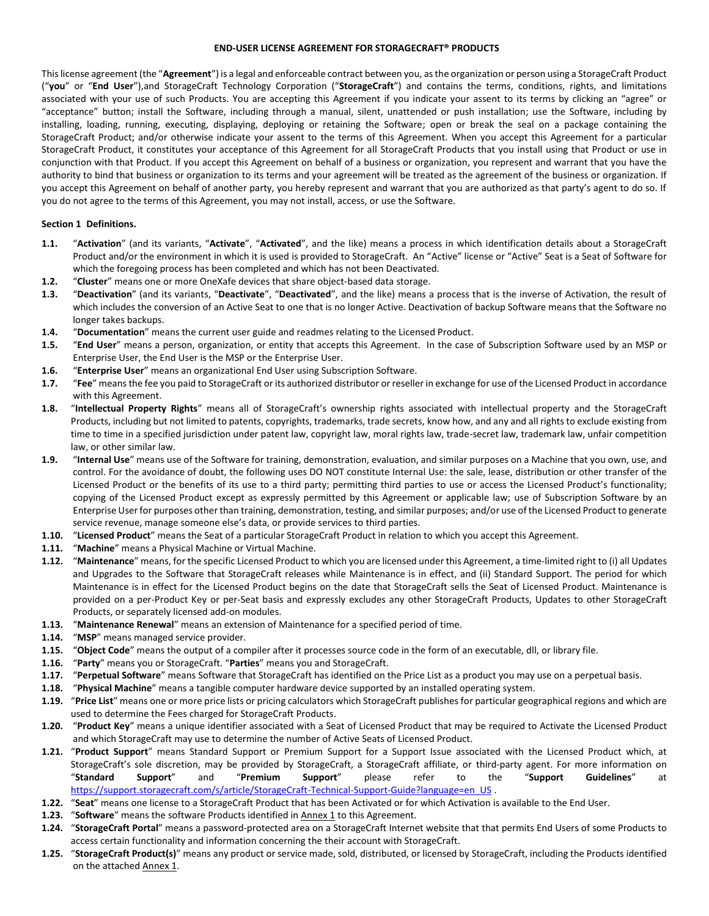## **END-USER LICENSE AGREEMENT FOR STORAGECRAFT® PRODUCTS**

This license agreement (the "**Agreement**") is a legal and enforceable contract between you, as the organization or person using a StorageCraft Product ("**you**" or "**End User**"),and StorageCraft Technology Corporation ("**StorageCraft**") and contains the terms, conditions, rights, and limitations associated with your use of such Products. You are accepting this Agreement if you indicate your assent to its terms by clicking an "agree" or "acceptance" button; install the Software, including through a manual, silent, unattended or push installation; use the Software, including by installing, loading, running, executing, displaying, deploying or retaining the Software; open or break the seal on a package containing the StorageCraft Product; and/or otherwise indicate your assent to the terms of this Agreement. When you accept this Agreement for a particular StorageCraft Product, it constitutes your acceptance of this Agreement for all StorageCraft Products that you install using that Product or use in conjunction with that Product. If you accept this Agreement on behalf of a business or organization, you represent and warrant that you have the authority to bind that business or organization to its terms and your agreement will be treated as the agreement of the business or organization. If you accept this Agreement on behalf of another party, you hereby represent and warrant that you are authorized as that party's agent to do so. If you do not agree to the terms of this Agreement, you may not install, access, or use the Software.

## **Section 1 Definitions.**

- **1.1.** "**Activation**" (and its variants, "**Activate**", "**Activated**", and the like) means a process in which identification details about a StorageCraft Product and/or the environment in which it is used is provided to StorageCraft. An "Active" license or "Active" Seat is a Seat of Software for which the foregoing process has been completed and which has not been Deactivated.
- **1.2.** "**Cluster**" means one or more OneXafe devices that share object-based data storage.
- **1.3.** "**Deactivation**" (and its variants, "**Deactivate**", "**Deactivated**", and the like) means a process that is the inverse of Activation, the result of which includes the conversion of an Active Seat to one that is no longer Active. Deactivation of backup Software means that the Software no longer takes backups.
- **1.4.** "**Documentation**" means the current user guide and readmes relating to the Licensed Product.
- **1.5.** "**End User**" means a person, organization, or entity that accepts this Agreement. In the case of Subscription Software used by an MSP or Enterprise User, the End User is the MSP or the Enterprise User.
- **1.6.** "**Enterprise User**" means an organizational End User using Subscription Software.
- **1.7.** "**Fee**" means the fee you paid to StorageCraft or its authorized distributor or reseller in exchange for use of the Licensed Product in accordance with this Agreement.
- **1.8.** "**Intellectual Property Rights**" means all of StorageCraft's ownership rights associated with intellectual property and the StorageCraft Products, including but not limited to patents, copyrights, trademarks, trade secrets, know how, and any and all rights to exclude existing from time to time in a specified jurisdiction under patent law, copyright law, moral rights law, trade-secret law, trademark law, unfair competition law, or other similar law.
- **1.9.** "**Internal Use**" means use of the Software for training, demonstration, evaluation, and similar purposes on a Machine that you own, use, and control. For the avoidance of doubt, the following uses DO NOT constitute Internal Use: the sale, lease, distribution or other transfer of the Licensed Product or the benefits of its use to a third party; permitting third parties to use or access the Licensed Product's functionality; copying of the Licensed Product except as expressly permitted by this Agreement or applicable law; use of Subscription Software by an Enterprise User for purposes other than training, demonstration, testing, and similar purposes; and/or use of the Licensed Product to generate service revenue, manage someone else's data, or provide services to third parties.
- **1.10.** "**Licensed Product**" means the Seat of a particular StorageCraft Product in relation to which you accept this Agreement.
- **1.11.** "**Machine**" means a Physical Machine or Virtual Machine.
- **1.12.** "**Maintenance**" means, for the specific Licensed Product to which you are licensed under this Agreement, a time-limited right to (i) all Updates and Upgrades to the Software that StorageCraft releases while Maintenance is in effect, and (ii) Standard Support. The period for which Maintenance is in effect for the Licensed Product begins on the date that StorageCraft sells the Seat of Licensed Product. Maintenance is provided on a per-Product Key or per-Seat basis and expressly excludes any other StorageCraft Products, Updates to other StorageCraft Products, or separately licensed add-on modules.
- **1.13.** "**Maintenance Renewal**" means an extension of Maintenance for a specified period of time.
- **1.14.** "**MSP**" means managed service provider.
- **1.15.** "**Object Code**" means the output of a compiler after it processes source code in the form of an executable, dll, or library file.
- **1.16.** "**Party**" means you or StorageCraft. "**Parties**" means you and StorageCraft.
- **1.17.** "**Perpetual Software**" means Software that StorageCraft has identified on the Price List as a product you may use on a perpetual basis.
- **1.18.** "**Physical Machine**" means a tangible computer hardware device supported by an installed operating system.
- **1.19.** "**Price List**" means one or more price lists or pricing calculators which StorageCraft publishes for particular geographical regions and which are used to determine the Fees charged for StorageCraft Products.
- **1.20.** "**Product Key**" means a unique identifier associated with a Seat of Licensed Product that may be required to Activate the Licensed Product and which StorageCraft may use to determine the number of Active Seats of Licensed Product.
- **1.21.** "**Product Support**" means Standard Support or Premium Support for a Support Issue associated with the Licensed Product which, at StorageCraft's sole discretion, may be provided by StorageCraft, a StorageCraft affiliate, or third-party agent. For more information on "**Standard Support**" and "**Premium Support**" please refer to the "**Support Guidelines**" at [https://support.storagecraft.com/s/article/StorageCraft-Technical-Support-Guide?language=en\\_US](https://support.storagecraft.com/s/article/StorageCraft-Technical-Support-Guide?language=en_US) .
- **1.22.** "**Seat**" means one license to a StorageCraft Product that has been Activated or for which Activation is available to the End User.
- **1.23.** "Software" means the software Products identified in Annex 1 to this Agreement.
- **1.24.** "**StorageCraft Portal**" means a password-protected area on a StorageCraft Internet website that that permits End Users of some Products to access certain functionality and information concerning the their account with StorageCraft.
- **1.25.** "**StorageCraft Product(s)**" means any product or service made, sold, distributed, or licensed by StorageCraft, including the Products identified on the attached Annex 1.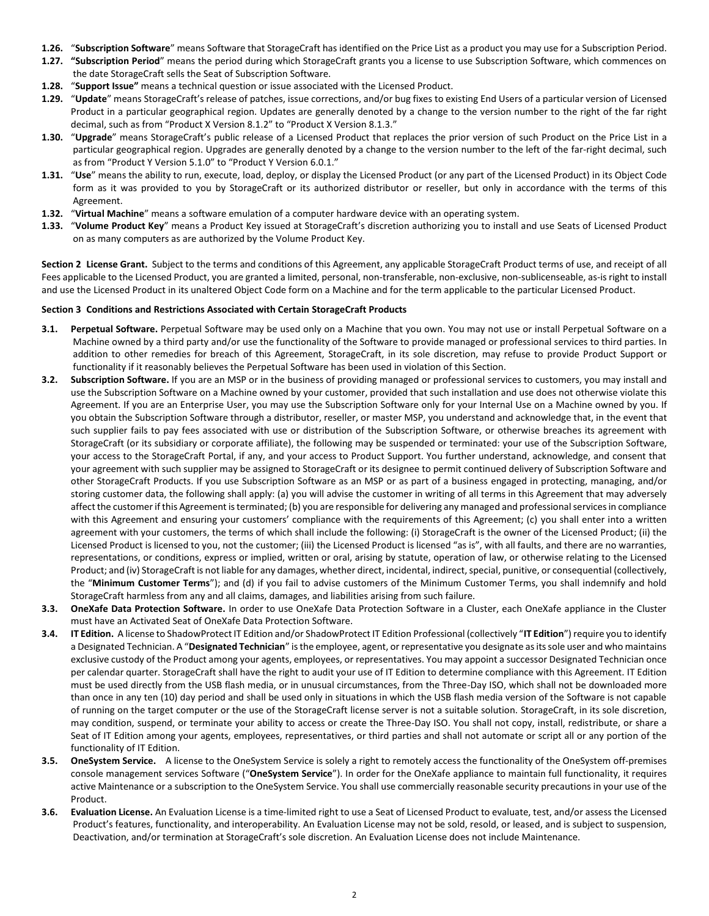- **1.26.** "**Subscription Software**" means Software that StorageCraft has identified on the Price List as a product you may use for a Subscription Period.
- **1.27. "Subscription Period**" means the period during which StorageCraft grants you a license to use Subscription Software, which commences on the date StorageCraft sells the Seat of Subscription Software.
- **1.28.** "**Support Issue"** means a technical question or issue associated with the Licensed Product.
- **1.29.** "**Update**" means StorageCraft's release of patches, issue corrections, and/or bug fixes to existing End Users of a particular version of Licensed Product in a particular geographical region. Updates are generally denoted by a change to the version number to the right of the far right decimal, such as from "Product X Version 8.1.2" to "Product X Version 8.1.3."
- **1.30.** "**Upgrade**" means StorageCraft's public release of a Licensed Product that replaces the prior version of such Product on the Price List in a particular geographical region. Upgrades are generally denoted by a change to the version number to the left of the far-right decimal, such as from "Product Y Version 5.1.0" to "Product Y Version 6.0.1."
- **1.31.** "**Use**" means the ability to run, execute, load, deploy, or display the Licensed Product (or any part of the Licensed Product) in its Object Code form as it was provided to you by StorageCraft or its authorized distributor or reseller, but only in accordance with the terms of this Agreement.
- **1.32.** "**Virtual Machine**" means a software emulation of a computer hardware device with an operating system.
- **1.33.** "**Volume Product Key**" means a Product Key issued at StorageCraft's discretion authorizing you to install and use Seats of Licensed Product on as many computers as are authorized by the Volume Product Key.

**Section 2 License Grant.** Subject to the terms and conditions of this Agreement, any applicable StorageCraft Product terms of use, and receipt of all Fees applicable to the Licensed Product, you are granted a limited, personal, non-transferable, non-exclusive, non-sublicenseable, as-is right to install and use the Licensed Product in its unaltered Object Code form on a Machine and for the term applicable to the particular Licensed Product.

## **Section 3 Conditions and Restrictions Associated with Certain StorageCraft Products**

- **3.1. Perpetual Software.** Perpetual Software may be used only on a Machine that you own. You may not use or install Perpetual Software on a Machine owned by a third party and/or use the functionality of the Software to provide managed or professional services to third parties. In addition to other remedies for breach of this Agreement, StorageCraft, in its sole discretion, may refuse to provide Product Support or functionality if it reasonably believes the Perpetual Software has been used in violation of this Section.
- **3.2. Subscription Software.** If you are an MSP or in the business of providing managed or professional services to customers, you may install and use the Subscription Software on a Machine owned by your customer, provided that such installation and use does not otherwise violate this Agreement. If you are an Enterprise User, you may use the Subscription Software only for your Internal Use on a Machine owned by you. If you obtain the Subscription Software through a distributor, reseller, or master MSP, you understand and acknowledge that, in the event that such supplier fails to pay fees associated with use or distribution of the Subscription Software, or otherwise breaches its agreement with StorageCraft (or its subsidiary or corporate affiliate), the following may be suspended or terminated: your use of the Subscription Software, your access to the StorageCraft Portal, if any, and your access to Product Support. You further understand, acknowledge, and consent that your agreement with such supplier may be assigned to StorageCraft or its designee to permit continued delivery of Subscription Software and other StorageCraft Products. If you use Subscription Software as an MSP or as part of a business engaged in protecting, managing, and/or storing customer data, the following shall apply: (a) you will advise the customer in writing of all terms in this Agreement that may adversely affect the customer if this Agreement is terminated; (b) you are responsible for delivering any managed and professional services in compliance with this Agreement and ensuring your customers' compliance with the requirements of this Agreement; (c) you shall enter into a written agreement with your customers, the terms of which shall include the following: (i) StorageCraft is the owner of the Licensed Product; (ii) the Licensed Product is licensed to you, not the customer; (iii) the Licensed Product is licensed "as is", with all faults, and there are no warranties, representations, or conditions, express or implied, written or oral, arising by statute, operation of law, or otherwise relating to the Licensed Product; and (iv) StorageCraft is not liable for any damages, whether direct, incidental, indirect, special, punitive, or consequential (collectively, the "**Minimum Customer Terms**"); and (d) if you fail to advise customers of the Minimum Customer Terms, you shall indemnify and hold StorageCraft harmless from any and all claims, damages, and liabilities arising from such failure.
- **3.3. OneXafe Data Protection Software.** In order to use OneXafe Data Protection Software in a Cluster, each OneXafe appliance in the Cluster must have an Activated Seat of OneXafe Data Protection Software.
- **3.4. IT Edition.** A license to ShadowProtect IT Edition and/or ShadowProtect IT Edition Professional (collectively "**IT Edition**") require you to identify a Designated Technician. A "**Designated Technician**" is the employee, agent, or representative you designate as its sole user and who maintains exclusive custody of the Product among your agents, employees, or representatives. You may appoint a successor Designated Technician once per calendar quarter. StorageCraft shall have the right to audit your use of IT Edition to determine compliance with this Agreement. IT Edition must be used directly from the USB flash media, or in unusual circumstances, from the Three-Day ISO, which shall not be downloaded more than once in any ten (10) day period and shall be used only in situations in which the USB flash media version of the Software is not capable of running on the target computer or the use of the StorageCraft license server is not a suitable solution. StorageCraft, in its sole discretion, may condition, suspend, or terminate your ability to access or create the Three-Day ISO. You shall not copy, install, redistribute, or share a Seat of IT Edition among your agents, employees, representatives, or third parties and shall not automate or script all or any portion of the functionality of IT Edition.
- **3.5. OneSystem Service.** A license to the OneSystem Service is solely a right to remotely access the functionality of the OneSystem off-premises console management services Software ("**OneSystem Service**"). In order for the OneXafe appliance to maintain full functionality, it requires active Maintenance or a subscription to the OneSystem Service. You shall use commercially reasonable security precautions in your use of the Product.
- **3.6. Evaluation License.** An Evaluation License is a time-limited right to use a Seat of Licensed Product to evaluate, test, and/or assess the Licensed Product's features, functionality, and interoperability. An Evaluation License may not be sold, resold, or leased, and is subject to suspension, Deactivation, and/or termination at StorageCraft's sole discretion. An Evaluation License does not include Maintenance.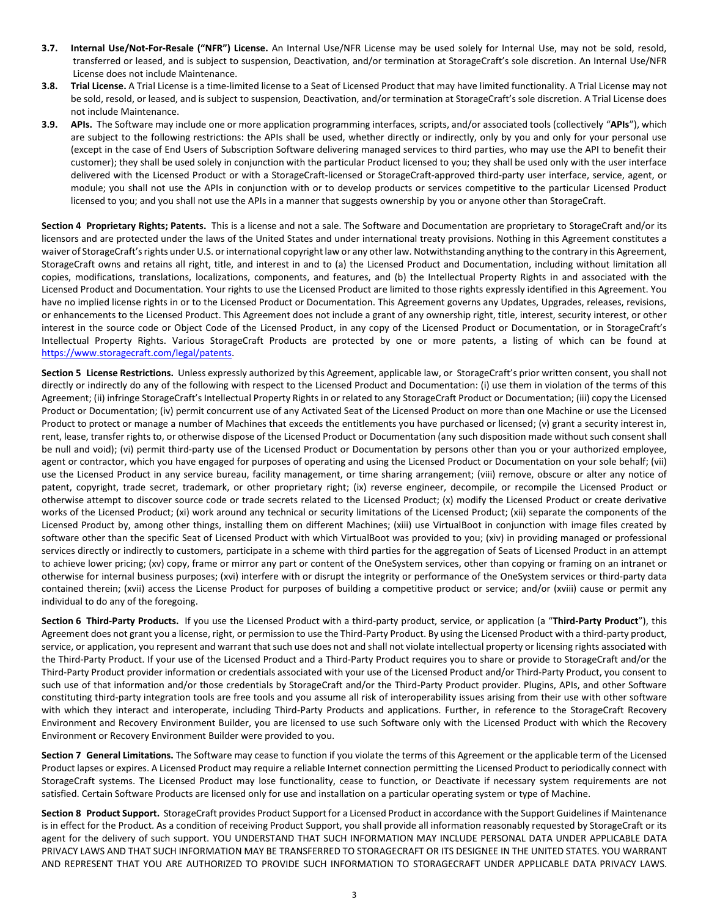- **3.7. Internal Use/Not-For-Resale ("NFR") License.** An Internal Use/NFR License may be used solely for Internal Use, may not be sold, resold, transferred or leased, and is subject to suspension, Deactivation, and/or termination at StorageCraft's sole discretion. An Internal Use/NFR License does not include Maintenance.
- **3.8. Trial License.** A Trial License is a time-limited license to a Seat of Licensed Product that may have limited functionality. A Trial License may not be sold, resold, or leased, and is subject to suspension, Deactivation, and/or termination at StorageCraft's sole discretion. A Trial License does not include Maintenance.
- **3.9. APIs.** The Software may include one or more application programming interfaces, scripts, and/or associated tools (collectively "**APIs**"), which are subject to the following restrictions: the APIs shall be used, whether directly or indirectly, only by you and only for your personal use (except in the case of End Users of Subscription Software delivering managed services to third parties, who may use the API to benefit their customer); they shall be used solely in conjunction with the particular Product licensed to you; they shall be used only with the user interface delivered with the Licensed Product or with a StorageCraft-licensed or StorageCraft-approved third-party user interface, service, agent, or module; you shall not use the APIs in conjunction with or to develop products or services competitive to the particular Licensed Product licensed to you; and you shall not use the APIs in a manner that suggests ownership by you or anyone other than StorageCraft.

**Section 4 Proprietary Rights; Patents.** This is a license and not a sale. The Software and Documentation are proprietary to StorageCraft and/or its licensors and are protected under the laws of the United States and under international treaty provisions. Nothing in this Agreement constitutes a waiver of StorageCraft's rights under U.S. or international copyright law or any other law. Notwithstanding anything to the contrary in this Agreement, StorageCraft owns and retains all right, title, and interest in and to (a) the Licensed Product and Documentation, including without limitation all copies, modifications, translations, localizations, components, and features, and (b) the Intellectual Property Rights in and associated with the Licensed Product and Documentation. Your rights to use the Licensed Product are limited to those rights expressly identified in this Agreement. You have no implied license rights in or to the Licensed Product or Documentation. This Agreement governs any Updates, Upgrades, releases, revisions, or enhancements to the Licensed Product. This Agreement does not include a grant of any ownership right, title, interest, security interest, or other interest in the source code or Object Code of the Licensed Product, in any copy of the Licensed Product or Documentation, or in StorageCraft's Intellectual Property Rights. Various StorageCraft Products are protected by one or more patents, a listing of which can be found at [https://www.storagecraft.com/legal/patents.](https://www.storagecraft.com/legal/patents)

Section 5 License Restrictions. Unless expressly authorized by this Agreement, applicable law, or StorageCraft's prior written consent, you shall not directly or indirectly do any of the following with respect to the Licensed Product and Documentation: (i) use them in violation of the terms of this Agreement; (ii) infringe StorageCraft's Intellectual Property Rights in or related to any StorageCraft Product or Documentation; (iii) copy the Licensed Product or Documentation; (iv) permit concurrent use of any Activated Seat of the Licensed Product on more than one Machine or use the Licensed Product to protect or manage a number of Machines that exceeds the entitlements you have purchased or licensed; (v) grant a security interest in, rent, lease, transfer rights to, or otherwise dispose of the Licensed Product or Documentation (any such disposition made without such consent shall be null and void); (vi) permit third-party use of the Licensed Product or Documentation by persons other than you or your authorized employee, agent or contractor, which you have engaged for purposes of operating and using the Licensed Product or Documentation on your sole behalf; (vii) use the Licensed Product in any service bureau, facility management, or time sharing arrangement; (viii) remove, obscure or alter any notice of patent, copyright, trade secret, trademark, or other proprietary right; (ix) reverse engineer, decompile, or recompile the Licensed Product or otherwise attempt to discover source code or trade secrets related to the Licensed Product; (x) modify the Licensed Product or create derivative works of the Licensed Product; (xi) work around any technical or security limitations of the Licensed Product; (xii) separate the components of the Licensed Product by, among other things, installing them on different Machines; (xiii) use VirtualBoot in conjunction with image files created by software other than the specific Seat of Licensed Product with which VirtualBoot was provided to you; (xiv) in providing managed or professional services directly or indirectly to customers, participate in a scheme with third parties for the aggregation of Seats of Licensed Product in an attempt to achieve lower pricing; (xv) copy, frame or mirror any part or content of the OneSystem services, other than copying or framing on an intranet or otherwise for internal business purposes; (xvi) interfere with or disrupt the integrity or performance of the OneSystem services or third-party data contained therein; (xvii) access the License Product for purposes of building a competitive product or service; and/or (xviii) cause or permit any individual to do any of the foregoing.

**Section 6 Third-Party Products.** If you use the Licensed Product with a third-party product, service, or application (a "**Third-Party Product**"), this Agreement does not grant you a license, right, or permission to use the Third-Party Product. By using the Licensed Product with a third-party product, service, or application, you represent and warrant that such use does not and shall not violate intellectual property or licensing rights associated with the Third-Party Product. If your use of the Licensed Product and a Third-Party Product requires you to share or provide to StorageCraft and/or the Third-Party Product provider information or credentials associated with your use of the Licensed Product and/or Third-Party Product, you consent to such use of that information and/or those credentials by StorageCraft and/or the Third-Party Product provider. Plugins, APIs, and other Software constituting third-party integration tools are free tools and you assume all risk of interoperability issues arising from their use with other software with which they interact and interoperate, including Third-Party Products and applications. Further, in reference to the StorageCraft Recovery Environment and Recovery Environment Builder, you are licensed to use such Software only with the Licensed Product with which the Recovery Environment or Recovery Environment Builder were provided to you.

**Section 7 General Limitations.** The Software may cease to function if you violate the terms of this Agreement or the applicable term of the Licensed Product lapses or expires. A Licensed Product may require a reliable Internet connection permitting the Licensed Product to periodically connect with StorageCraft systems. The Licensed Product may lose functionality, cease to function, or Deactivate if necessary system requirements are not satisfied. Certain Software Products are licensed only for use and installation on a particular operating system or type of Machine.

**Section 8 Product Support.** StorageCraft provides Product Support for a Licensed Product in accordance with the Support Guidelines if Maintenance is in effect for the Product. As a condition of receiving Product Support, you shall provide all information reasonably requested by StorageCraft or its agent for the delivery of such support. YOU UNDERSTAND THAT SUCH INFORMATION MAY INCLUDE PERSONAL DATA UNDER APPLICABLE DATA PRIVACY LAWS AND THAT SUCH INFORMATION MAY BE TRANSFERRED TO STORAGECRAFT OR ITS DESIGNEE IN THE UNITED STATES. YOU WARRANT AND REPRESENT THAT YOU ARE AUTHORIZED TO PROVIDE SUCH INFORMATION TO STORAGECRAFT UNDER APPLICABLE DATA PRIVACY LAWS.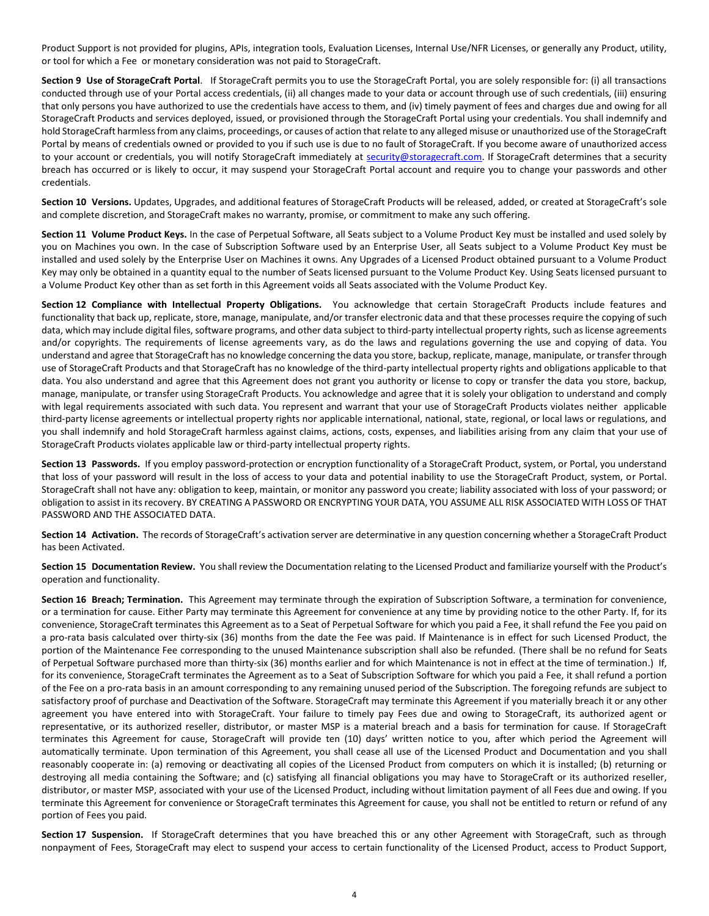Product Support is not provided for plugins, APIs, integration tools, Evaluation Licenses, Internal Use/NFR Licenses, or generally any Product, utility, or tool for which a Fee or monetary consideration was not paid to StorageCraft.

**Section 9 Use of StorageCraft Portal**. If StorageCraft permits you to use the StorageCraft Portal, you are solely responsible for: (i) all transactions conducted through use of your Portal access credentials, (ii) all changes made to your data or account through use of such credentials, (iii) ensuring that only persons you have authorized to use the credentials have access to them, and (iv) timely payment of fees and charges due and owing for all StorageCraft Products and services deployed, issued, or provisioned through the StorageCraft Portal using your credentials. You shall indemnify and hold StorageCraft harmless from any claims, proceedings, or causes of action that relate to any alleged misuse or unauthorized use of the StorageCraft Portal by means of credentials owned or provided to you if such use is due to no fault of StorageCraft. If you become aware of unauthorized access to your account or credentials, you will notify StorageCraft immediately at [security@storagecraft.com.](mailto:security@storagecraft.com) If StorageCraft determines that a security breach has occurred or is likely to occur, it may suspend your StorageCraft Portal account and require you to change your passwords and other credentials.

Section 10 Versions. Updates, Upgrades, and additional features of StorageCraft Products will be released, added, or created at StorageCraft's sole and complete discretion, and StorageCraft makes no warranty, promise, or commitment to make any such offering.

**Section 11 Volume Product Keys.** In the case of Perpetual Software, all Seats subject to a Volume Product Key must be installed and used solely by you on Machines you own. In the case of Subscription Software used by an Enterprise User, all Seats subject to a Volume Product Key must be installed and used solely by the Enterprise User on Machines it owns. Any Upgrades of a Licensed Product obtained pursuant to a Volume Product Key may only be obtained in a quantity equal to the number of Seats licensed pursuant to the Volume Product Key. Using Seats licensed pursuant to a Volume Product Key other than as set forth in this Agreement voids all Seats associated with the Volume Product Key.

**Section 12 Compliance with Intellectual Property Obligations.** You acknowledge that certain StorageCraft Products include features and functionality that back up, replicate, store, manage, manipulate, and/or transfer electronic data and that these processes require the copying of such data, which may include digital files, software programs, and other data subject to third-party intellectual property rights, such as license agreements and/or copyrights. The requirements of license agreements vary, as do the laws and regulations governing the use and copying of data. You understand and agree that StorageCraft has no knowledge concerning the data you store, backup, replicate, manage, manipulate, or transfer through use of StorageCraft Products and that StorageCraft has no knowledge of the third-party intellectual property rights and obligations applicable to that data. You also understand and agree that this Agreement does not grant you authority or license to copy or transfer the data you store, backup, manage, manipulate, or transfer using StorageCraft Products. You acknowledge and agree that it is solely your obligation to understand and comply with legal requirements associated with such data. You represent and warrant that your use of StorageCraft Products violates neither applicable third-party license agreements or intellectual property rights nor applicable international, national, state, regional, or local laws or regulations, and you shall indemnify and hold StorageCraft harmless against claims, actions, costs, expenses, and liabilities arising from any claim that your use of StorageCraft Products violates applicable law or third-party intellectual property rights.

Section 13 Passwords. If you employ password-protection or encryption functionality of a StorageCraft Product, system, or Portal, you understand that loss of your password will result in the loss of access to your data and potential inability to use the StorageCraft Product, system, or Portal. StorageCraft shall not have any: obligation to keep, maintain, or monitor any password you create; liability associated with loss of your password; or obligation to assist in its recovery. BY CREATING A PASSWORD OR ENCRYPTING YOUR DATA, YOU ASSUME ALL RISK ASSOCIATED WITH LOSS OF THAT PASSWORD AND THE ASSOCIATED DATA.

Section 14 Activation. The records of StorageCraft's activation server are determinative in any question concerning whether a StorageCraft Product has been Activated.

**Section 15 Documentation Review.** You shall review the Documentation relating to the Licensed Product and familiarize yourself with the Product's operation and functionality.

**Section 16 Breach; Termination.** This Agreement may terminate through the expiration of Subscription Software, a termination for convenience, or a termination for cause. Either Party may terminate this Agreement for convenience at any time by providing notice to the other Party. If, for its convenience, StorageCraft terminates this Agreement as to a Seat of Perpetual Software for which you paid a Fee, it shall refund the Fee you paid on a pro-rata basis calculated over thirty-six (36) months from the date the Fee was paid. If Maintenance is in effect for such Licensed Product, the portion of the Maintenance Fee corresponding to the unused Maintenance subscription shall also be refunded. (There shall be no refund for Seats of Perpetual Software purchased more than thirty-six (36) months earlier and for which Maintenance is not in effect at the time of termination.) If, for its convenience, StorageCraft terminates the Agreement as to a Seat of Subscription Software for which you paid a Fee, it shall refund a portion of the Fee on a pro-rata basis in an amount corresponding to any remaining unused period of the Subscription. The foregoing refunds are subject to satisfactory proof of purchase and Deactivation of the Software. StorageCraft may terminate this Agreement if you materially breach it or any other agreement you have entered into with StorageCraft. Your failure to timely pay Fees due and owing to StorageCraft, its authorized agent or representative, or its authorized reseller, distributor, or master MSP is a material breach and a basis for termination for cause. If StorageCraft terminates this Agreement for cause, StorageCraft will provide ten (10) days' written notice to you, after which period the Agreement will automatically terminate. Upon termination of this Agreement, you shall cease all use of the Licensed Product and Documentation and you shall reasonably cooperate in: (a) removing or deactivating all copies of the Licensed Product from computers on which it is installed; (b) returning or destroying all media containing the Software; and (c) satisfying all financial obligations you may have to StorageCraft or its authorized reseller, distributor, or master MSP, associated with your use of the Licensed Product, including without limitation payment of all Fees due and owing. If you terminate this Agreement for convenience or StorageCraft terminates this Agreement for cause, you shall not be entitled to return or refund of any portion of Fees you paid.

**Section 17 Suspension.** If StorageCraft determines that you have breached this or any other Agreement with StorageCraft, such as through nonpayment of Fees, StorageCraft may elect to suspend your access to certain functionality of the Licensed Product, access to Product Support,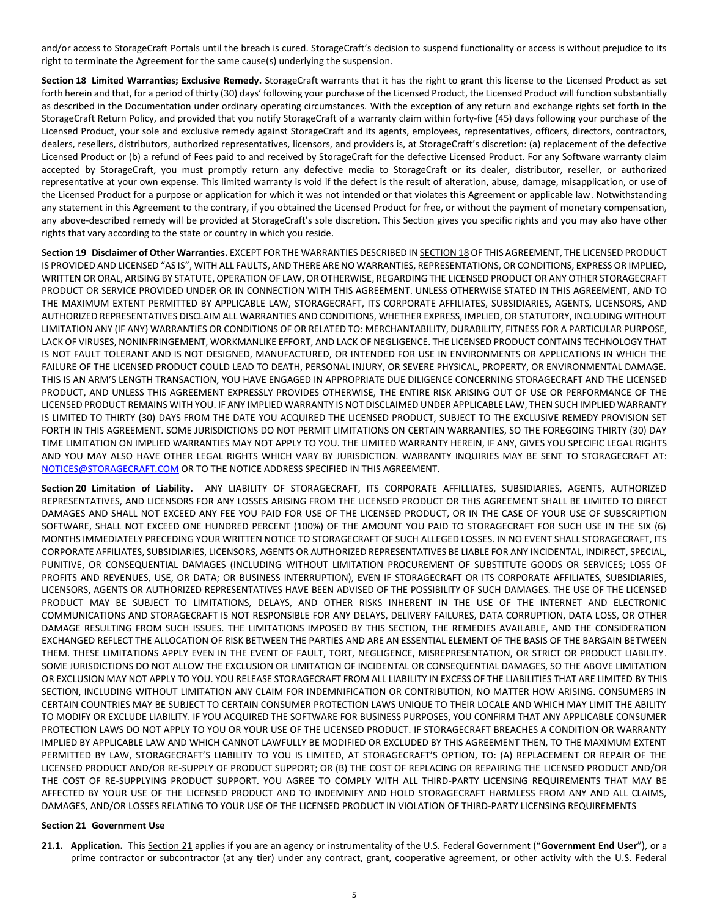and/or access to StorageCraft Portals until the breach is cured. StorageCraft's decision to suspend functionality or access is without prejudice to its right to terminate the Agreement for the same cause(s) underlying the suspension.

**Section 18 Limited Warranties; Exclusive Remedy.** StorageCraft warrants that it has the right to grant this license to the Licensed Product as set forth herein and that, for a period of thirty (30) days' following your purchase of the Licensed Product, the Licensed Product will function substantially as described in the Documentation under ordinary operating circumstances. With the exception of any return and exchange rights set forth in the StorageCraft Return Policy, and provided that you notify StorageCraft of a warranty claim within forty-five (45) days following your purchase of the Licensed Product, your sole and exclusive remedy against StorageCraft and its agents, employees, representatives, officers, directors, contractors, dealers, resellers, distributors, authorized representatives, licensors, and providers is, at StorageCraft's discretion: (a) replacement of the defective Licensed Product or (b) a refund of Fees paid to and received by StorageCraft for the defective Licensed Product. For any Software warranty claim accepted by StorageCraft, you must promptly return any defective media to StorageCraft or its dealer, distributor, reseller, or authorized representative at your own expense. This limited warranty is void if the defect is the result of alteration, abuse, damage, misapplication, or use of the Licensed Product for a purpose or application for which it was not intended or that violates this Agreement or applicable law. Notwithstanding any statement in this Agreement to the contrary, if you obtained the Licensed Product for free, or without the payment of monetary compensation, any above-described remedy will be provided at StorageCraft's sole discretion. This Section gives you specific rights and you may also have other rights that vary according to the state or country in which you reside.

**Section 19 Disclaimer of Other Warranties.** EXCEPT FOR THE WARRANTIES DESCRIBED IN SECTION 18 OF THIS AGREEMENT, THE LICENSED PRODUCT IS PROVIDED AND LICENSED "AS IS", WITH ALL FAULTS, AND THERE ARE NO WARRANTIES, REPRESENTATIONS, OR CONDITIONS, EXPRESS OR IMPLIED, WRITTEN OR ORAL, ARISING BY STATUTE, OPERATION OF LAW, OR OTHERWISE, REGARDING THE LICENSED PRODUCT OR ANY OTHER STORAGECRAFT PRODUCT OR SERVICE PROVIDED UNDER OR IN CONNECTION WITH THIS AGREEMENT. UNLESS OTHERWISE STATED IN THIS AGREEMENT, AND TO THE MAXIMUM EXTENT PERMITTED BY APPLICABLE LAW, STORAGECRAFT, ITS CORPORATE AFFILIATES, SUBSIDIARIES, AGENTS, LICENSORS, AND AUTHORIZED REPRESENTATIVES DISCLAIM ALL WARRANTIES AND CONDITIONS, WHETHER EXPRESS, IMPLIED, OR STATUTORY, INCLUDING WITHOUT LIMITATION ANY (IF ANY) WARRANTIES OR CONDITIONS OF OR RELATED TO: MERCHANTABILITY, DURABILITY, FITNESS FOR A PARTICULAR PURPOSE, LACK OF VIRUSES, NONINFRINGEMENT, WORKMANLIKE EFFORT, AND LACK OF NEGLIGENCE. THE LICENSED PRODUCT CONTAINS TECHNOLOGY THAT IS NOT FAULT TOLERANT AND IS NOT DESIGNED, MANUFACTURED, OR INTENDED FOR USE IN ENVIRONMENTS OR APPLICATIONS IN WHICH THE FAILURE OF THE LICENSED PRODUCT COULD LEAD TO DEATH, PERSONAL INJURY, OR SEVERE PHYSICAL, PROPERTY, OR ENVIRONMENTAL DAMAGE. THIS IS AN ARM'S LENGTH TRANSACTION, YOU HAVE ENGAGED IN APPROPRIATE DUE DILIGENCE CONCERNING STORAGECRAFT AND THE LICENSED PRODUCT, AND UNLESS THIS AGREEMENT EXPRESSLY PROVIDES OTHERWISE, THE ENTIRE RISK ARISING OUT OF USE OR PERFORMANCE OF THE LICENSED PRODUCT REMAINS WITH YOU. IF ANY IMPLIED WARRANTY IS NOT DISCLAIMED UNDER APPLICABLE LAW, THEN SUCH IMPLIED WARRANTY IS LIMITED TO THIRTY (30) DAYS FROM THE DATE YOU ACQUIRED THE LICENSED PRODUCT, SUBJECT TO THE EXCLUSIVE REMEDY PROVISION SET FORTH IN THIS AGREEMENT. SOME JURISDICTIONS DO NOT PERMIT LIMITATIONS ON CERTAIN WARRANTIES, SO THE FOREGOING THIRTY (30) DAY TIME LIMITATION ON IMPLIED WARRANTIES MAY NOT APPLY TO YOU. THE LIMITED WARRANTY HEREIN, IF ANY, GIVES YOU SPECIFIC LEGAL RIGHTS AND YOU MAY ALSO HAVE OTHER LEGAL RIGHTS WHICH VARY BY JURISDICTION. WARRANTY INQUIRIES MAY BE SENT TO STORAGECRAFT AT: [NOTICES@STORAGECRAFT.COM](mailto:NOTICES@STORAGECRAFT.COM) OR TO THE NOTICE ADDRESS SPECIFIED IN THIS AGREEMENT.

**Section 20 Limitation of Liability.** ANY LIABILITY OF STORAGECRAFT, ITS CORPORATE AFFILLIATES, SUBSIDIARIES, AGENTS, AUTHORIZED REPRESENTATIVES, AND LICENSORS FOR ANY LOSSES ARISING FROM THE LICENSED PRODUCT OR THIS AGREEMENT SHALL BE LIMITED TO DIRECT DAMAGES AND SHALL NOT EXCEED ANY FEE YOU PAID FOR USE OF THE LICENSED PRODUCT, OR IN THE CASE OF YOUR USE OF SUBSCRIPTION SOFTWARE, SHALL NOT EXCEED ONE HUNDRED PERCENT (100%) OF THE AMOUNT YOU PAID TO STORAGECRAFT FOR SUCH USE IN THE SIX (6) MONTHS IMMEDIATELY PRECEDING YOUR WRITTEN NOTICE TO STORAGECRAFT OF SUCH ALLEGED LOSSES. IN NO EVENT SHALL STORAGECRAFT, ITS CORPORATE AFFILIATES, SUBSIDIARIES, LICENSORS, AGENTS OR AUTHORIZED REPRESENTATIVES BE LIABLE FOR ANY INCIDENTAL, INDIRECT, SPECIAL, PUNITIVE, OR CONSEQUENTIAL DAMAGES (INCLUDING WITHOUT LIMITATION PROCUREMENT OF SUBSTITUTE GOODS OR SERVICES; LOSS OF PROFITS AND REVENUES, USE, OR DATA; OR BUSINESS INTERRUPTION), EVEN IF STORAGECRAFT OR ITS CORPORATE AFFILIATES, SUBSIDIARIES, LICENSORS, AGENTS OR AUTHORIZED REPRESENTATIVES HAVE BEEN ADVISED OF THE POSSIBILITY OF SUCH DAMAGES. THE USE OF THE LICENSED PRODUCT MAY BE SUBJECT TO LIMITATIONS, DELAYS, AND OTHER RISKS INHERENT IN THE USE OF THE INTERNET AND ELECTRONIC COMMUNICATIONS AND STORAGECRAFT IS NOT RESPONSIBLE FOR ANY DELAYS, DELIVERY FAILURES, DATA CORRUPTION, DATA LOSS, OR OTHER DAMAGE RESULTING FROM SUCH ISSUES. THE LIMITATIONS IMPOSED BY THIS SECTION, THE REMEDIES AVAILABLE, AND THE CONSIDERATION EXCHANGED REFLECT THE ALLOCATION OF RISK BETWEEN THE PARTIES AND ARE AN ESSENTIAL ELEMENT OF THE BASIS OF THE BARGAIN BETWEEN THEM. THESE LIMITATIONS APPLY EVEN IN THE EVENT OF FAULT, TORT, NEGLIGENCE, MISREPRESENTATION, OR STRICT OR PRODUCT LIABILITY. SOME JURISDICTIONS DO NOT ALLOW THE EXCLUSION OR LIMITATION OF INCIDENTAL OR CONSEQUENTIAL DAMAGES, SO THE ABOVE LIMITATION OR EXCLUSION MAY NOT APPLY TO YOU. YOU RELEASE STORAGECRAFT FROM ALL LIABILITY IN EXCESS OF THE LIABILITIES THAT ARE LIMITED BY THIS SECTION, INCLUDING WITHOUT LIMITATION ANY CLAIM FOR INDEMNIFICATION OR CONTRIBUTION, NO MATTER HOW ARISING. CONSUMERS IN CERTAIN COUNTRIES MAY BE SUBJECT TO CERTAIN CONSUMER PROTECTION LAWS UNIQUE TO THEIR LOCALE AND WHICH MAY LIMIT THE ABILITY TO MODIFY OR EXCLUDE LIABILITY. IF YOU ACQUIRED THE SOFTWARE FOR BUSINESS PURPOSES, YOU CONFIRM THAT ANY APPLICABLE CONSUMER PROTECTION LAWS DO NOT APPLY TO YOU OR YOUR USE OF THE LICENSED PRODUCT. IF STORAGECRAFT BREACHES A CONDITION OR WARRANTY IMPLIED BY APPLICABLE LAW AND WHICH CANNOT LAWFULLY BE MODIFIED OR EXCLUDED BY THIS AGREEMENT THEN, TO THE MAXIMUM EXTENT PERMITTED BY LAW, STORAGECRAFT'S LIABILITY TO YOU IS LIMITED, AT STORAGECRAFT'S OPTION, TO: (A) REPLACEMENT OR REPAIR OF THE LICENSED PRODUCT AND/OR RE-SUPPLY OF PRODUCT SUPPORT; OR (B) THE COST OF REPLACING OR REPAIRING THE LICENSED PRODUCT AND/OR THE COST OF RE-SUPPLYING PRODUCT SUPPORT. YOU AGREE TO COMPLY WITH ALL THIRD-PARTY LICENSING REQUIREMENTS THAT MAY BE AFFECTED BY YOUR USE OF THE LICENSED PRODUCT AND TO INDEMNIFY AND HOLD STORAGECRAFT HARMLESS FROM ANY AND ALL CLAIMS, DAMAGES, AND/OR LOSSES RELATING TO YOUR USE OF THE LICENSED PRODUCT IN VIOLATION OF THIRD-PARTY LICENSING REQUIREMENTS

## **Section 21 Government Use**

**21.1. Application.** This Section 21 applies if you are an agency or instrumentality of the U.S. Federal Government ("**Government End User**"), or a prime contractor or subcontractor (at any tier) under any contract, grant, cooperative agreement, or other activity with the U.S. Federal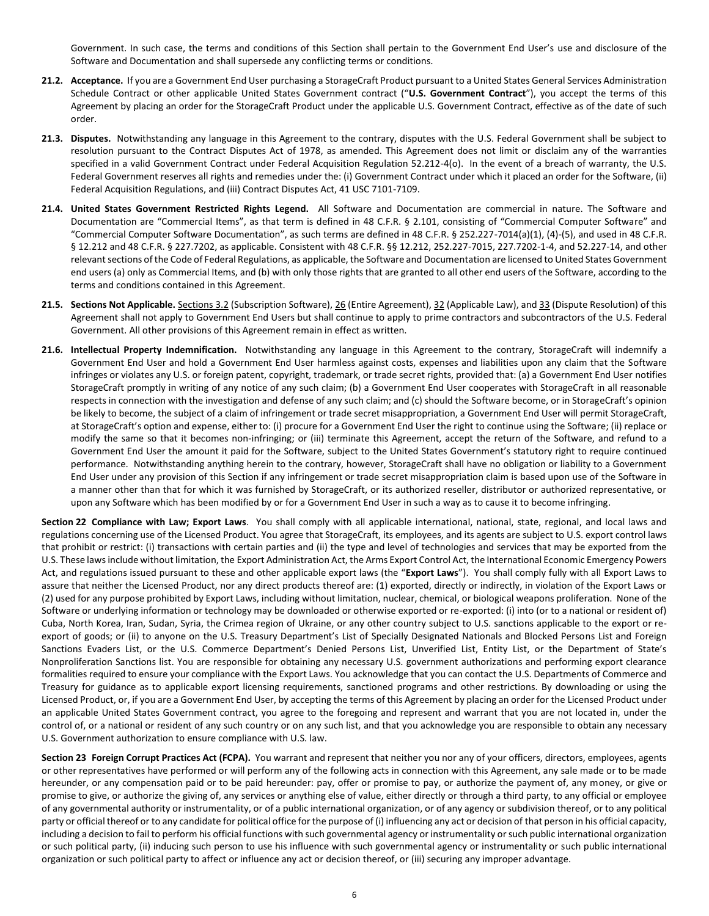Government. In such case, the terms and conditions of this Section shall pertain to the Government End User's use and disclosure of the Software and Documentation and shall supersede any conflicting terms or conditions.

- **21.2. Acceptance.** If you are a Government End User purchasing a StorageCraft Product pursuant to a United States General Services Administration Schedule Contract or other applicable United States Government contract ("**U.S. Government Contract**"), you accept the terms of this Agreement by placing an order for the StorageCraft Product under the applicable U.S. Government Contract, effective as of the date of such order.
- **21.3. Disputes.** Notwithstanding any language in this Agreement to the contrary, disputes with the U.S. Federal Government shall be subject to resolution pursuant to the Contract Disputes Act of 1978, as amended. This Agreement does not limit or disclaim any of the warranties specified in a valid Government Contract under Federal Acquisition Regulation 52.212-4(o). In the event of a breach of warranty, the U.S. Federal Government reserves all rights and remedies under the: (i) Government Contract under which it placed an order for the Software, (ii) Federal Acquisition Regulations, and (iii) Contract Disputes Act, 41 USC 7101-7109.
- **21.4. United States Government Restricted Rights Legend.** All Software and Documentation are commercial in nature. The Software and Documentation are "Commercial Items", as that term is defined in 48 C.F.R. § 2.101, consisting of "Commercial Computer Software" and "Commercial Computer Software Documentation", as such terms are defined in 48 C.F.R. § 252.227-7014(a)(1), (4)-(5), and used in 48 C.F.R. § 12.212 and 48 C.F.R. § 227.7202, as applicable. Consistent with 48 C.F.R. §§ 12.212, 252.227-7015, 227.7202-1-4, and 52.227-14, and other relevant sections of the Code of Federal Regulations, as applicable, the Software and Documentation are licensed to United States Government end users (a) only as Commercial Items, and (b) with only those rights that are granted to all other end users of the Software, according to the terms and conditions contained in this Agreement.
- **21.5. Sections Not Applicable.** Sections 3.2 (Subscription Software), 26 (Entire Agreement), 32 (Applicable Law), and 33 (Dispute Resolution) of this Agreement shall not apply to Government End Users but shall continue to apply to prime contractors and subcontractors of the U.S. Federal Government. All other provisions of this Agreement remain in effect as written.
- **21.6. Intellectual Property Indemnification.** Notwithstanding any language in this Agreement to the contrary, StorageCraft will indemnify a Government End User and hold a Government End User harmless against costs, expenses and liabilities upon any claim that the Software infringes or violates any U.S. or foreign patent, copyright, trademark, or trade secret rights, provided that: (a) a Government End User notifies StorageCraft promptly in writing of any notice of any such claim; (b) a Government End User cooperates with StorageCraft in all reasonable respects in connection with the investigation and defense of any such claim; and (c) should the Software become, or in StorageCraft's opinion be likely to become, the subject of a claim of infringement or trade secret misappropriation, a Government End User will permit StorageCraft, at StorageCraft's option and expense, either to: (i) procure for a Government End User the right to continue using the Software; (ii) replace or modify the same so that it becomes non-infringing; or (iii) terminate this Agreement, accept the return of the Software, and refund to a Government End User the amount it paid for the Software, subject to the United States Government's statutory right to require continued performance. Notwithstanding anything herein to the contrary, however, StorageCraft shall have no obligation or liability to a Government End User under any provision of this Section if any infringement or trade secret misappropriation claim is based upon use of the Software in a manner other than that for which it was furnished by StorageCraft, or its authorized reseller, distributor or authorized representative, or upon any Software which has been modified by or for a Government End User in such a way as to cause it to become infringing.

**Section 22 Compliance with Law; Export Laws**. You shall comply with all applicable international, national, state, regional, and local laws and regulations concerning use of the Licensed Product. You agree that StorageCraft, its employees, and its agents are subject to U.S. export control laws that prohibit or restrict: (i) transactions with certain parties and (ii) the type and level of technologies and services that may be exported from the U.S. These laws include without limitation, the Export Administration Act, the Arms Export Control Act, the International Economic Emergency Powers Act, and regulations issued pursuant to these and other applicable export laws (the "**Export Laws**"). You shall comply fully with all Export Laws to assure that neither the Licensed Product, nor any direct products thereof are: (1) exported, directly or indirectly, in violation of the Export Laws or (2) used for any purpose prohibited by Export Laws, including without limitation, nuclear, chemical, or biological weapons proliferation. None of the Software or underlying information or technology may be downloaded or otherwise exported or re-exported: (i) into (or to a national or resident of) Cuba, North Korea, Iran, Sudan, Syria, the Crimea region of Ukraine, or any other country subject to U.S. sanctions applicable to the export or reexport of goods; or (ii) to anyone on the U.S. Treasury Department's List of Specially Designated Nationals and Blocked Persons List and Foreign Sanctions Evaders List, or the U.S. Commerce Department's Denied Persons List, Unverified List, Entity List, or the Department of State's Nonproliferation Sanctions list. You are responsible for obtaining any necessary U.S. government authorizations and performing export clearance formalities required to ensure your compliance with the Export Laws. You acknowledge that you can contact the U.S. Departments of Commerce and Treasury for guidance as to applicable export licensing requirements, sanctioned programs and other restrictions. By downloading or using the Licensed Product, or, if you are a Government End User, by accepting the terms of this Agreement by placing an order for the Licensed Product under an applicable United States Government contract, you agree to the foregoing and represent and warrant that you are not located in, under the control of, or a national or resident of any such country or on any such list, and that you acknowledge you are responsible to obtain any necessary U.S. Government authorization to ensure compliance with U.S. law.

**Section 23 Foreign Corrupt Practices Act (FCPA).** You warrant and represent that neither you nor any of your officers, directors, employees, agents or other representatives have performed or will perform any of the following acts in connection with this Agreement, any sale made or to be made hereunder, or any compensation paid or to be paid hereunder: pay, offer or promise to pay, or authorize the payment of, any money, or give or promise to give, or authorize the giving of, any services or anything else of value, either directly or through a third party, to any official or employee of any governmental authority or instrumentality, or of a public international organization, or of any agency or subdivision thereof, or to any political party or official thereof or to any candidate for political office for the purpose of (i) influencing any act or decision of that person in his official capacity, including a decision to fail to perform his official functions with such governmental agency or instrumentality or such public international organization or such political party, (ii) inducing such person to use his influence with such governmental agency or instrumentality or such public international organization or such political party to affect or influence any act or decision thereof, or (iii) securing any improper advantage.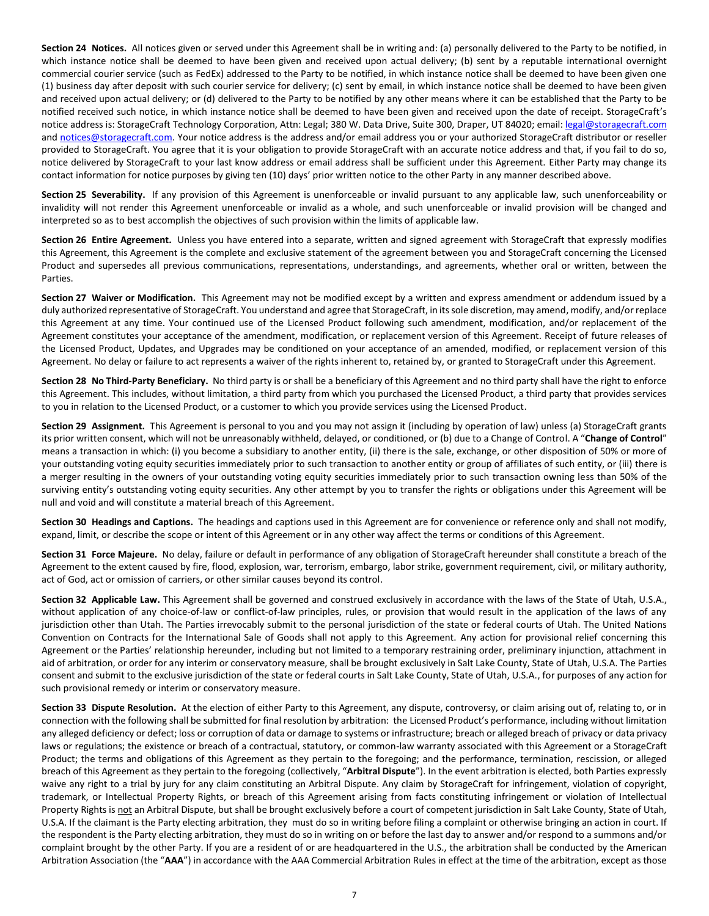**Section 24 Notices.** All notices given or served under this Agreement shall be in writing and: (a) personally delivered to the Party to be notified, in which instance notice shall be deemed to have been given and received upon actual delivery; (b) sent by a reputable international overnight commercial courier service (such as FedEx) addressed to the Party to be notified, in which instance notice shall be deemed to have been given one (1) business day after deposit with such courier service for delivery; (c) sent by email, in which instance notice shall be deemed to have been given and received upon actual delivery; or (d) delivered to the Party to be notified by any other means where it can be established that the Party to be notified received such notice, in which instance notice shall be deemed to have been given and received upon the date of receipt. StorageCraft's notice address is: StorageCraft Technology Corporation, Attn: Legal; 380 W. Data Drive, Suite 300, Draper, UT 84020; email[: legal@storagecraft.com](mailto:legal@storagecraft.com) and [notices@storagecraft.com.](mailto:notices@storagecraft.com) Your notice address is the address and/or email address you or your authorized StorageCraft distributor or reseller provided to StorageCraft. You agree that it is your obligation to provide StorageCraft with an accurate notice address and that, if you fail to do so, notice delivered by StorageCraft to your last know address or email address shall be sufficient under this Agreement. Either Party may change its contact information for notice purposes by giving ten (10) days' prior written notice to the other Party in any manner described above.

**Section 25 Severability.** If any provision of this Agreement is unenforceable or invalid pursuant to any applicable law, such unenforceability or invalidity will not render this Agreement unenforceable or invalid as a whole, and such unenforceable or invalid provision will be changed and interpreted so as to best accomplish the objectives of such provision within the limits of applicable law.

**Section 26 Entire Agreement.** Unless you have entered into a separate, written and signed agreement with StorageCraft that expressly modifies this Agreement, this Agreement is the complete and exclusive statement of the agreement between you and StorageCraft concerning the Licensed Product and supersedes all previous communications, representations, understandings, and agreements, whether oral or written, between the Parties.

**Section 27 Waiver or Modification.** This Agreement may not be modified except by a written and express amendment or addendum issued by a duly authorized representative of StorageCraft. You understand and agree that StorageCraft, in its sole discretion, may amend, modify, and/or replace this Agreement at any time. Your continued use of the Licensed Product following such amendment, modification, and/or replacement of the Agreement constitutes your acceptance of the amendment, modification, or replacement version of this Agreement. Receipt of future releases of the Licensed Product, Updates, and Upgrades may be conditioned on your acceptance of an amended, modified, or replacement version of this Agreement. No delay or failure to act represents a waiver of the rights inherent to, retained by, or granted to StorageCraft under this Agreement.

**Section 28 No Third-Party Beneficiary.** No third party is or shall be a beneficiary of this Agreement and no third party shall have the right to enforce this Agreement. This includes, without limitation, a third party from which you purchased the Licensed Product, a third party that provides services to you in relation to the Licensed Product, or a customer to which you provide services using the Licensed Product.

**Section 29 Assignment.** This Agreement is personal to you and you may not assign it (including by operation of law) unless (a) StorageCraft grants its prior written consent, which will not be unreasonably withheld, delayed, or conditioned, or (b) due to a Change of Control. A "**Change of Control**" means a transaction in which: (i) you become a subsidiary to another entity, (ii) there is the sale, exchange, or other disposition of 50% or more of your outstanding voting equity securities immediately prior to such transaction to another entity or group of affiliates of such entity, or (iii) there is a merger resulting in the owners of your outstanding voting equity securities immediately prior to such transaction owning less than 50% of the surviving entity's outstanding voting equity securities. Any other attempt by you to transfer the rights or obligations under this Agreement will be null and void and will constitute a material breach of this Agreement.

**Section 30 Headings and Captions.** The headings and captions used in this Agreement are for convenience or reference only and shall not modify, expand, limit, or describe the scope or intent of this Agreement or in any other way affect the terms or conditions of this Agreement.

**Section 31 Force Majeure.** No delay, failure or default in performance of any obligation of StorageCraft hereunder shall constitute a breach of the Agreement to the extent caused by fire, flood, explosion, war, terrorism, embargo, labor strike, government requirement, civil, or military authority, act of God, act or omission of carriers, or other similar causes beyond its control.

**Section 32 Applicable Law.** This Agreement shall be governed and construed exclusively in accordance with the laws of the State of Utah, U.S.A., without application of any choice-of-law or conflict-of-law principles, rules, or provision that would result in the application of the laws of any jurisdiction other than Utah. The Parties irrevocably submit to the personal jurisdiction of the state or federal courts of Utah. The United Nations Convention on Contracts for the International Sale of Goods shall not apply to this Agreement. Any action for provisional relief concerning this Agreement or the Parties' relationship hereunder, including but not limited to a temporary restraining order, preliminary injunction, attachment in aid of arbitration, or order for any interim or conservatory measure, shall be brought exclusively in Salt Lake County, State of Utah, U.S.A. The Parties consent and submit to the exclusive jurisdiction of the state or federal courts in Salt Lake County, State of Utah, U.S.A., for purposes of any action for such provisional remedy or interim or conservatory measure.

**Section 33 Dispute Resolution.** At the election of either Party to this Agreement, any dispute, controversy, or claim arising out of, relating to, or in connection with the following shall be submitted for final resolution by arbitration: the Licensed Product's performance, including without limitation any alleged deficiency or defect; loss or corruption of data or damage to systems or infrastructure; breach or alleged breach of privacy or data privacy laws or regulations; the existence or breach of a contractual, statutory, or common-law warranty associated with this Agreement or a StorageCraft Product; the terms and obligations of this Agreement as they pertain to the foregoing; and the performance, termination, rescission, or alleged breach of this Agreement as they pertain to the foregoing (collectively, "**Arbitral Dispute**"). In the event arbitration is elected, both Parties expressly waive any right to a trial by jury for any claim constituting an Arbitral Dispute. Any claim by StorageCraft for infringement, violation of copyright, trademark, or Intellectual Property Rights, or breach of this Agreement arising from facts constituting infringement or violation of Intellectual Property Rights is not an Arbitral Dispute, but shall be brought exclusively before a court of competent jurisdiction in Salt Lake County, State of Utah, U.S.A. If the claimant is the Party electing arbitration, they must do so in writing before filing a complaint or otherwise bringing an action in court. If the respondent is the Party electing arbitration, they must do so in writing on or before the last day to answer and/or respond to a summons and/or complaint brought by the other Party. If you are a resident of or are headquartered in the U.S., the arbitration shall be conducted by the American Arbitration Association (the "**AAA**") in accordance with the AAA Commercial Arbitration Rules in effect at the time of the arbitration, except as those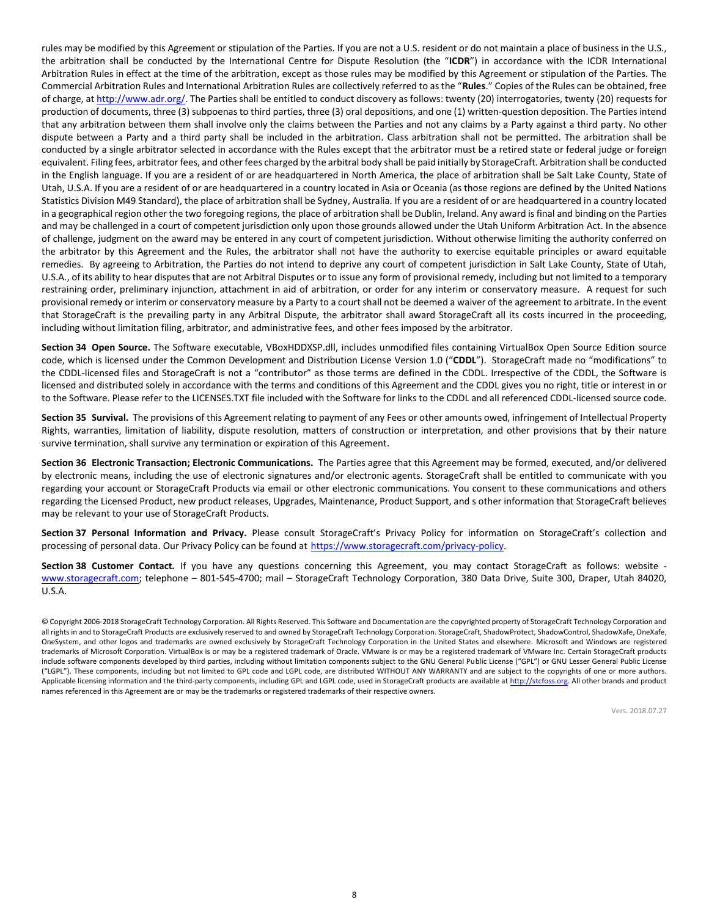rules may be modified by this Agreement or stipulation of the Parties. If you are not a U.S. resident or do not maintain a place of business in the U.S., the arbitration shall be conducted by the International Centre for Dispute Resolution (the "**ICDR**") in accordance with the ICDR International Arbitration Rules in effect at the time of the arbitration, except as those rules may be modified by this Agreement or stipulation of the Parties. The Commercial Arbitration Rules and International Arbitration Rules are collectively referred to as the "**Rules**." Copies of the Rules can be obtained, free of charge, a[t http://www.adr.org/.](http://www.adr.org/) The Parties shall be entitled to conduct discovery as follows: twenty (20) interrogatories, twenty (20) requests for production of documents, three (3) subpoenas to third parties, three (3) oral depositions, and one (1) written-question deposition. The Parties intend that any arbitration between them shall involve only the claims between the Parties and not any claims by a Party against a third party. No other dispute between a Party and a third party shall be included in the arbitration. Class arbitration shall not be permitted. The arbitration shall be conducted by a single arbitrator selected in accordance with the Rules except that the arbitrator must be a retired state or federal judge or foreign equivalent. Filing fees, arbitrator fees, and other fees charged by the arbitral body shall be paid initially by StorageCraft. Arbitration shall be conducted in the English language. If you are a resident of or are headquartered in North America, the place of arbitration shall be Salt Lake County, State of Utah, U.S.A. If you are a resident of or are headquartered in a country located in Asia or Oceania (as those regions are defined by the United Nations Statistics Division M49 Standard), the place of arbitration shall be Sydney, Australia. If you are a resident of or are headquartered in a country located in a geographical region other the two foregoing regions, the place of arbitration shall be Dublin, Ireland. Any award is final and binding on the Parties and may be challenged in a court of competent jurisdiction only upon those grounds allowed under the Utah Uniform Arbitration Act. In the absence of challenge, judgment on the award may be entered in any court of competent jurisdiction. Without otherwise limiting the authority conferred on the arbitrator by this Agreement and the Rules, the arbitrator shall not have the authority to exercise equitable principles or award equitable remedies. By agreeing to Arbitration, the Parties do not intend to deprive any court of competent jurisdiction in Salt Lake County, State of Utah, U.S.A., of its ability to hear disputes that are not Arbitral Disputes or to issue any form of provisional remedy, including but not limited to a temporary restraining order, preliminary injunction, attachment in aid of arbitration, or order for any interim or conservatory measure. A request for such provisional remedy or interim or conservatory measure by a Party to a court shall not be deemed a waiver of the agreement to arbitrate. In the event that StorageCraft is the prevailing party in any Arbitral Dispute, the arbitrator shall award StorageCraft all its costs incurred in the proceeding, including without limitation filing, arbitrator, and administrative fees, and other fees imposed by the arbitrator.

Section 34 Open Source. The Software executable, VBoxHDDXSP.dll, includes unmodified files containing VirtualBox Open Source Edition source code, which is licensed under the Common Development and Distribution License Version 1.0 ("CDDL"). StorageCraft made no "modifications" to the CDDL-licensed files and StorageCraft is not a "contributor" as those terms are defined in the CDDL. Irrespective of the CDDL, the Software is licensed and distributed solely in accordance with the terms and conditions of this Agreement and the CDDL gives you no right, title or interest in or to the Software. Please refer to the LICENSES.TXT file included with the Software for links to the CDDL and all referenced CDDL-licensed source code.

**Section 35 Survival.** The provisions of this Agreement relating to payment of any Fees or other amounts owed, infringement of Intellectual Property Rights, warranties, limitation of liability, dispute resolution, matters of construction or interpretation, and other provisions that by their nature survive termination, shall survive any termination or expiration of this Agreement.

**Section 36 Electronic Transaction; Electronic Communications.** The Parties agree that this Agreement may be formed, executed, and/or delivered by electronic means, including the use of electronic signatures and/or electronic agents. StorageCraft shall be entitled to communicate with you regarding your account or StorageCraft Products via email or other electronic communications. You consent to these communications and others regarding the Licensed Product, new product releases, Upgrades, Maintenance, Product Support, and s other information that StorageCraft believes may be relevant to your use of StorageCraft Products.

**Section 37 Personal Information and Privacy.** Please consult StorageCraft's Privacy Policy for information on StorageCraft's collection and processing of personal data. Our Privacy Policy can be found at [https://www.storagecraft.com/privacy-policy.](https://www.storagecraft.com/privacy-policy)

**Section 38 Customer Contact***.* If you have any questions concerning this Agreement, you may contact StorageCraft as follows: website [www.storagecraft.com;](http://www.storagecraft.com/) telephone – 801-545-4700; mail – StorageCraft Technology Corporation, 380 Data Drive, Suite 300, Draper, Utah 84020, U.S.A.

© Copyright 2006-2018 StorageCraft Technology Corporation. All Rights Reserved. This Software and Documentation are the copyrighted property of StorageCraft Technology Corporation and all rights in and to StorageCraft Products are exclusively reserved to and owned by StorageCraft Technology Corporation. StorageCraft, ShadowProtect, ShadowControl, ShadowXafe, OneXafe, OneSystem, and other logos and trademarks are owned exclusively by StorageCraft Technology Corporation in the United States and elsewhere. Microsoft and Windows are registered trademarks of Microsoft Corporation. VirtualBox is or may be a registered trademark of Oracle. VMware is or may be a registered trademark of VMware Inc. Certain StorageCraft products include software components developed by third parties, including without limitation components subject to the GNU General Public License ("GPL") or GNU Lesser General Public License ("LGPL"). These components, including but not limited to GPL code and LGPL code, are distributed WITHOUT ANY WARRANTY and are subject to the copyrights of one or more authors. Applicable licensing information and the third-party components, including GPL and LGPL code, used in StorageCraft products are available at [http://stcfoss.org.](http://stcfoss.org/) All other brands and product names referenced in this Agreement are or may be the trademarks or registered trademarks of their respective owners.

Vers. 2018.07.27